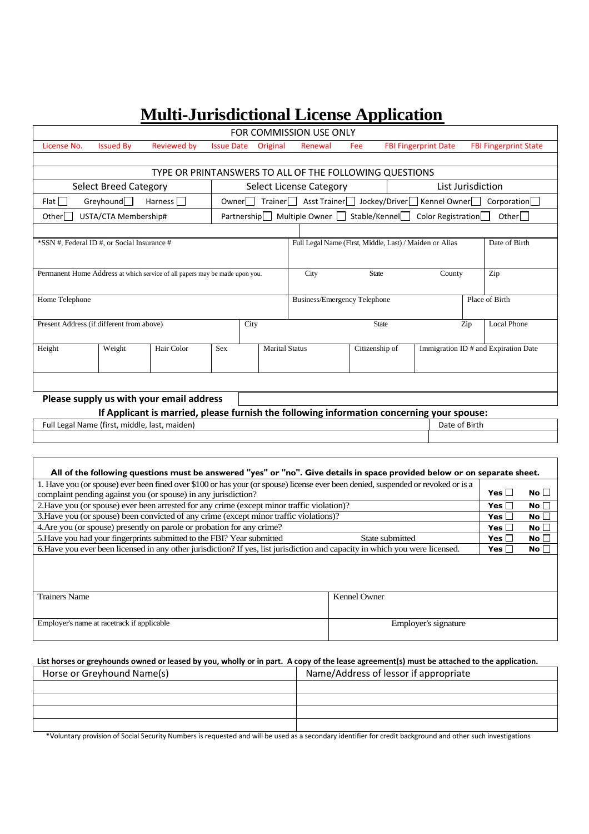# **Multi-Jurisdictional License Application**

| FOR COMMISSION USE ONLY                                                                                                                                                                                                           |                              |                                                                             |                   |                                                       |                                     |                        |                                                         |                             |               |                              |  |
|-----------------------------------------------------------------------------------------------------------------------------------------------------------------------------------------------------------------------------------|------------------------------|-----------------------------------------------------------------------------|-------------------|-------------------------------------------------------|-------------------------------------|------------------------|---------------------------------------------------------|-----------------------------|---------------|------------------------------|--|
| License No.                                                                                                                                                                                                                       | <b>Issued By</b>             | <b>Reviewed by</b>                                                          | <b>Issue Date</b> | Original                                              | Renewal                             | Fee                    |                                                         | <b>FBI Fingerprint Date</b> |               | <b>FBI Fingerprint State</b> |  |
|                                                                                                                                                                                                                                   |                              |                                                                             |                   |                                                       |                                     |                        |                                                         |                             |               |                              |  |
| TYPE OR PRINTANSWERS TO ALL OF THE FOLLOWING QUESTIONS                                                                                                                                                                            |                              |                                                                             |                   |                                                       |                                     |                        |                                                         |                             |               |                              |  |
|                                                                                                                                                                                                                                   | <b>Select Breed Category</b> |                                                                             |                   |                                                       | <b>Select License Category</b>      |                        |                                                         | List Jurisdiction           |               |                              |  |
| Flat                                                                                                                                                                                                                              | Greyhound <sup>[1]</sup>     | Harness                                                                     | $O$ wner $\Box$   |                                                       |                                     |                        | Trainer   Asst Trainer   Jockey/Driver                  | Kennel Owner                |               | Corporation                  |  |
| Multiple Owner<br>Stable/Kennel<br>Color Registration<br>Other<br>USTA/CTA Membership#<br>Partnership  <br>Other                                                                                                                  |                              |                                                                             |                   |                                                       |                                     |                        |                                                         |                             |               |                              |  |
|                                                                                                                                                                                                                                   |                              |                                                                             |                   |                                                       |                                     |                        |                                                         |                             |               |                              |  |
| *SSN #, Federal ID #, or Social Insurance #                                                                                                                                                                                       |                              |                                                                             |                   |                                                       |                                     |                        | Full Legal Name (First, Middle, Last) / Maiden or Alias |                             |               | Date of Birth                |  |
|                                                                                                                                                                                                                                   |                              |                                                                             |                   |                                                       |                                     |                        |                                                         |                             |               |                              |  |
|                                                                                                                                                                                                                                   |                              | Permanent Home Address at which service of all papers may be made upon you. |                   |                                                       | City                                | <b>State</b><br>County |                                                         |                             |               | Zip                          |  |
|                                                                                                                                                                                                                                   |                              |                                                                             |                   |                                                       |                                     |                        |                                                         |                             |               |                              |  |
| Home Telephone                                                                                                                                                                                                                    |                              |                                                                             |                   |                                                       | <b>Business/Emergency Telephone</b> |                        |                                                         |                             |               | Place of Birth               |  |
|                                                                                                                                                                                                                                   |                              |                                                                             |                   |                                                       |                                     |                        |                                                         |                             |               |                              |  |
| Present Address (if different from above)<br>City                                                                                                                                                                                 |                              |                                                                             |                   |                                                       |                                     | <b>State</b><br>Zip    |                                                         |                             |               | <b>Local Phone</b>           |  |
|                                                                                                                                                                                                                                   |                              |                                                                             |                   |                                                       |                                     |                        |                                                         |                             |               |                              |  |
| Height                                                                                                                                                                                                                            | Weight                       | Hair Color                                                                  |                   | <b>Marital Status</b><br><b>Sex</b><br>Citizenship of |                                     |                        | Immigration ID # and Expiration Date                    |                             |               |                              |  |
|                                                                                                                                                                                                                                   |                              |                                                                             |                   |                                                       |                                     |                        |                                                         |                             |               |                              |  |
|                                                                                                                                                                                                                                   |                              |                                                                             |                   |                                                       |                                     |                        |                                                         |                             |               |                              |  |
| Please supply us with your email address                                                                                                                                                                                          |                              |                                                                             |                   |                                                       |                                     |                        |                                                         |                             |               |                              |  |
| If Applicant is married, please furnish the following information concerning your spouse:                                                                                                                                         |                              |                                                                             |                   |                                                       |                                     |                        |                                                         |                             |               |                              |  |
| Full Legal Name (first, middle, last, maiden)                                                                                                                                                                                     |                              |                                                                             |                   |                                                       |                                     |                        |                                                         | Date of Birth               |               |                              |  |
|                                                                                                                                                                                                                                   |                              |                                                                             |                   |                                                       |                                     |                        |                                                         |                             |               |                              |  |
|                                                                                                                                                                                                                                   |                              |                                                                             |                   |                                                       |                                     |                        |                                                         |                             |               |                              |  |
| All of the following questions must be answered "yes" or "no". Give details in space provided below or on separate sheet.                                                                                                         |                              |                                                                             |                   |                                                       |                                     |                        |                                                         |                             |               |                              |  |
|                                                                                                                                                                                                                                   |                              |                                                                             |                   |                                                       |                                     |                        |                                                         |                             |               |                              |  |
| 1. Have you (or spouse) ever been fined over \$100 or has your (or spouse) license ever been denied, suspended or revoked or is a<br>Yes $\Box$<br>No $\square$<br>complaint pending against you (or spouse) in any jurisdiction? |                              |                                                                             |                   |                                                       |                                     |                        |                                                         |                             |               |                              |  |
| 2. Have you (or spouse) ever been arrested for any crime (except minor traffic violation)?<br>Yes $\Box$<br>No $\Box$                                                                                                             |                              |                                                                             |                   |                                                       |                                     |                        |                                                         |                             |               |                              |  |
| 3. Have you (or spouse) been convicted of any crime (except minor traffic violations)?<br>Yes $\square$<br>No $\Box$                                                                                                              |                              |                                                                             |                   |                                                       |                                     |                        |                                                         |                             |               |                              |  |
| 4. Are you (or spouse) presently on parole or probation for any crime?<br>Yes $\square$<br>No $\Box$                                                                                                                              |                              |                                                                             |                   |                                                       |                                     |                        |                                                         |                             |               |                              |  |
| 5. Have you had your fingerprints submitted to the FBI? Year submitted                                                                                                                                                            |                              |                                                                             |                   | State submitted                                       |                                     |                        |                                                         |                             | Yes $\square$ | No $\square$                 |  |
| 6. Have you ever been licensed in any other jurisdiction? If yes, list jurisdiction and capacity in which you were licensed.<br>Yes $[$<br>No                                                                                     |                              |                                                                             |                   |                                                       |                                     |                        |                                                         |                             |               |                              |  |
|                                                                                                                                                                                                                                   |                              |                                                                             |                   |                                                       |                                     |                        |                                                         |                             |               |                              |  |
|                                                                                                                                                                                                                                   |                              |                                                                             |                   |                                                       |                                     |                        |                                                         |                             |               |                              |  |
| <b>Trainers Name</b>                                                                                                                                                                                                              |                              |                                                                             |                   |                                                       |                                     |                        | Kennel Owner                                            |                             |               |                              |  |
|                                                                                                                                                                                                                                   |                              |                                                                             |                   |                                                       |                                     |                        |                                                         |                             |               |                              |  |
| Employer's name at racetrack if applicable                                                                                                                                                                                        |                              |                                                                             |                   |                                                       |                                     |                        | Employer's signature                                    |                             |               |                              |  |

## **List horses or greyhounds owned or leased by you, wholly or in part. A copy of the lease agreement(s) must be attached to the application.**

| Horse or Greyhound Name(s) | Name/Address of lessor if appropriate |
|----------------------------|---------------------------------------|
|                            |                                       |
|                            |                                       |
|                            |                                       |
|                            |                                       |

\*Voluntary provision of Social Security Numbers is requested and will be used as a secondary identifier for credit background and other such investigations